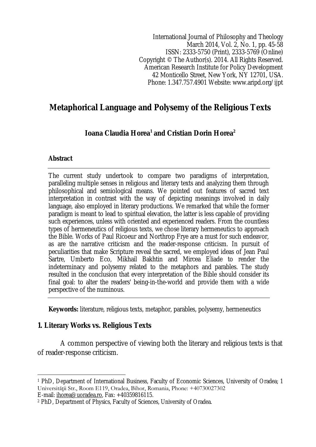International Journal of Philosophy and Theology March 2014, Vol. 2, No. 1, pp. 45-58 ISSN: 2333-5750 (Print), 2333-5769 (Online) Copyright © The Author(s). 2014. All Rights Reserved. American Research Institute for Policy Development 42 Monticello Street, New York, NY 12701, USA. Phone: 1.347.757.4901 Website: www.aripd.org/ijpt

# **Metaphorical Language and Polysemy of the Religious Texts**

# **Ioana Claudia Horea<sup>1</sup> and Cristian Dorin Horea<sup>2</sup>**

## **Abstract**

The current study undertook to compare two paradigms of interpretation, paralleling multiple senses in religious and literary texts and analyzing them through philosophical and semiological means. We pointed out features of sacred text interpretation in contrast with the way of depicting meanings involved in daily language, also employed in literary productions. We remarked that while the former paradigm is meant to lead to spiritual elevation, the latter is less capable of providing such experiences, unless with oriented and experienced readers. From the countless types of hermeneutics of religious texts, we chose literary hermeneutics to approach the Bible. Works of Paul Ricoeur and Northrop Frye are a must for such endeavor, as are the narrative criticism and the reader-response criticism. In pursuit of peculiarities that make Scripture reveal the sacred, we employed ideas of Jean Paul Sartre, Umberto Eco, Mikhail Bakhtin and Mircea Eliade to render the indeterminacy and polysemy related to the metaphors and parables. The study resulted in the conclusion that every interpretation of the Bible should consider its final goal: to alter the readers' being-in-the-world and provide them with a wide perspective of the numinous.

**Keywords:** literature, religious texts, metaphor, parables, polysemy, hermeneutics

# **1. Literary Works vs. Religious Texts**

A common perspective of viewing both the literary and religious texts is that of reader-response criticism.

E-mail: ihorea@uoradea.ro, Fax: +40359816115.

 $\overline{a}$ <sup>1</sup> PhD, Department of International Business, Faculty of Economic Sciences, University of Oradea; 1 Universităţii Str., Room E119, Oradea, Bihor, Romania, Phone: +40730027302

<sup>2</sup> PhD, Department of Physics, Faculty of Sciences, University of Oradea.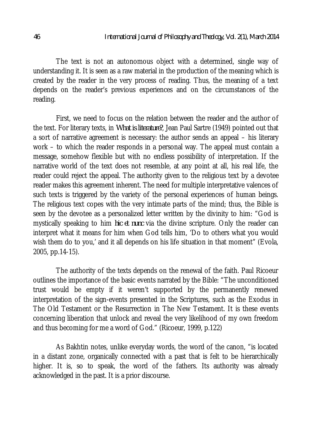The text is not an autonomous object with a determined, single way of understanding it. It is seen as a raw material in the production of the meaning which is created by the reader in the very process of reading. Thus, the meaning of a text depends on the reader's previous experiences and on the circumstances of the reading.

First, we need to focus on the relation between the reader and the author of the text. For literary texts, in *What is literature?*, Jean Paul Sartre (1949) pointed out that a sort of narrative agreement is necessary: the author sends an appeal – his literary work – to which the reader responds in a personal way. The appeal must contain a message, somehow flexible but with no endless possibility of interpretation. If the narrative world of the text does not resemble, at any point at all, his real life, the reader could reject the appeal. The authority given to the religious text by a devotee reader makes this agreement inherent. The need for multiple interpretative valences of such texts is triggered by the variety of the personal experiences of human beings. The religious text copes with the very intimate parts of the mind; thus, the Bible is seen by the devotee as a personalized letter written by the divinity to him: "God is mystically speaking to him *hic et nunc* via the divine scripture. Only the reader can interpret what it means for him when God tells him, 'Do to others what you would wish them do to you,' and it all depends on his life situation in that moment" (Evola, 2005, pp.14-15).

The authority of the texts depends on the renewal of the faith. Paul Ricoeur outlines the importance of the basic events narrated by the Bible: "The unconditioned trust would be empty if it weren't supported by the permanently renewed interpretation of the sign-events presented in the Scriptures, such as the Exodus in The Old Testament or the Resurrection in The New Testament. It is these events concerning liberation that unlock and reveal the very likelihood of my own freedom and thus becoming for me a word of God." (Ricoeur, 1999, p.122)

As Bakhtin notes, unlike everyday words, the word of the canon, "is located in a distant zone, organically connected with a past that is felt to be hierarchically higher. It is, so to speak, the word of the fathers. Its authority was already acknowledged in the past. It is a prior discourse.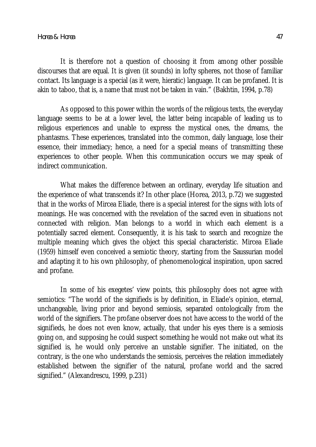It is therefore not a question of choosing it from among other possible discourses that are equal. It is given (it sounds) in lofty spheres, not those of familiar contact. Its language is a special (as it were, hieratic) language. It can be profaned. It is akin to taboo, that is, a name that must not be taken in vain." (Bakhtin, 1994, p.78)

As opposed to this power within the words of the religious texts, the everyday language seems to be at a lower level, the latter being incapable of leading us to religious experiences and unable to express the mystical ones, the dreams, the phantasms. These experiences, translated into the common, daily language, lose their essence, their immediacy; hence, a need for a special means of transmitting these experiences to other people. When this communication occurs we may speak of indirect communication.

What makes the difference between an ordinary, everyday life situation and the experience of what transcends it? In other place (Horea, 2013, p.72) we suggested that in the works of Mircea Eliade, there is a special interest for the signs with lots of meanings. He was concerned with the revelation of the sacred even in situations not connected with religion. Man belongs to a world in which each element is a potentially sacred element. Consequently, it is his task to search and recognize the multiple meaning which gives the object this special characteristic. Mircea Eliade (1959) himself even conceived a semiotic theory, starting from the Saussurian model and adapting it to his own philosophy, of phenomenological inspiration, upon sacred and profane.

In some of his exegetes' view points, this philosophy does not agree with semiotics: "The world of the signifieds is by definition, in Eliade's opinion, eternal, unchangeable, living prior and beyond semiosis, separated ontologically from the world of the signifiers. The profane observer does not have access to the world of the signifieds, he does not even know, actually, that under his eyes there is a semiosis going on, and supposing he could suspect something he would not make out what its signified is, he would only perceive an unstable signifier. The initiated, on the contrary, is the one who understands the semiosis, perceives the relation immediately established between the signifier of the natural, profane world and the sacred signified." (Alexandrescu, 1999, p.231)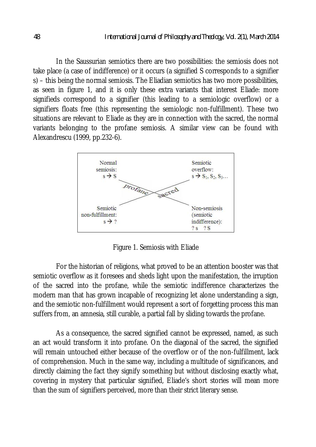In the Saussurian semiotics there are two possibilities: the semiosis does not take place (a case of indifference) or it occurs (a signified S corresponds to a signifier s) – this being the normal semiosis. The Eliadian semiotics has two more possibilities, as seen in figure 1, and it is only these extra variants that interest Eliade: more signifieds correspond to a signifier (this leading to a semiologic overflow) or a signifiers floats free (this representing the semiologic non-fulfillment). These two situations are relevant to Eliade as they are in connection with the sacred, the normal variants belonging to the profane semiosis. A similar view can be found with Alexandrescu (1999, pp.232-6).



Figure 1. Semiosis with Eliade

For the historian of religions, what proved to be an attention booster was that semiotic overflow as it foresees and sheds light upon the manifestation, the irruption of the sacred into the profane, while the semiotic indifference characterizes the modern man that has grown incapable of recognizing let alone understanding a sign, and the semiotic non-fulfillment would represent a sort of forgetting process this man suffers from, an amnesia, still curable, a partial fall by sliding towards the profane.

As a consequence, the sacred signified cannot be expressed, named, as such an act would transform it into profane. On the diagonal of the sacred, the signified will remain untouched either because of the overflow or of the non-fulfillment, lack of comprehension. Much in the same way, including a multitude of significances, and directly claiming the fact they signify something but without disclosing exactly what, covering in mystery that particular signified, Eliade's short stories will mean more than the sum of signifiers perceived, more than their strict literary sense.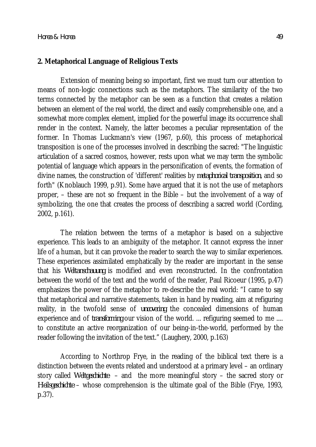#### **2. Metaphorical Language of Religious Texts**

Extension of meaning being so important, first we must turn our attention to means of non-logic connections such as the metaphors. The similarity of the two terms connected by the metaphor can be seen as a function that creates a relation between an element of the real world, the direct and easily comprehensible one, and a somewhat more complex element, implied for the powerful image its occurrence shall render in the context. Namely, the latter becomes a peculiar representation of the former. In Thomas Luckmann's view (1967, p.60), this process of metaphorical transposition is one of the processes involved in describing the sacred: "The linguistic articulation of a sacred cosmos, however, rests upon what we may term the symbolic potential of language which appears in the personification of events, the formation of divine names, the construction of 'different' realities by *metaphorical transposition*, and so forth" (Knoblauch 1999, p.91). Some have argued that it is not the use of metaphors proper, – these are not so frequent in the Bible – but the involvement of a way of symbolizing, the one that creates the process of describing a sacred world (Cording, 2002, p.161).

The relation between the terms of a metaphor is based on a subjective experience. This leads to an ambiguity of the metaphor. It cannot express the inner life of a human, but it can provoke the reader to search the way to similar experiences. These experiences assimilated emphatically by the reader are important in the sense that his *Weltanschauung* is modified and even reconstructed. In the confrontation between the world of the text and the world of the reader, Paul Ricoeur (1995, p.47) emphasizes the power of the metaphor to re-describe the real world: "I came to say that metaphorical and narrative statements, taken in hand by reading, aim at refiguring reality, in the twofold sense of *uncovering* the concealed dimensions of human experience and of *transforming* our vision of the world. ... refiguring seemed to me .... to constitute an active reorganization of our being-in-the-world, performed by the reader following the invitation of the text." (Laughery, 2000, p.163)

According to Northrop Frye, in the reading of the biblical text there is a distinction between the events related and understood at a primary level – an ordinary story called *Weltgeschichte* – and the more meaningful story – the sacred story or *Heilsgeschichte* – whose comprehension is the ultimate goal of the Bible (Frye, 1993, p.37).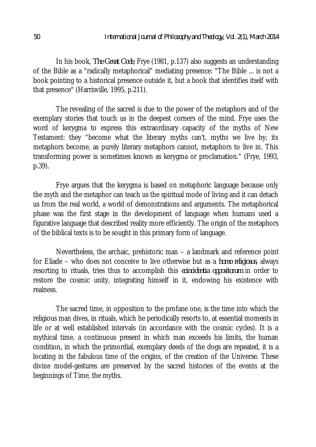In his book, *The Great Code*, Frye (1981, p.137) also suggests an understanding of the Bible as a "radically metaphorical" mediating presence: "The Bible ... is not a book pointing to a historical presence outside it, but a book that identifies itself with that presence" (Harrisville, 1995, p.211).

The revealing of the sacred is due to the power of the metaphors and of the exemplary stories that touch us in the deepest corners of the mind. Frye uses the word of kerygma to express this extraordinary capacity of the myths of New Testament: they "become what the literary myths can't, myths we live by; its metaphors become, as purely literary metaphors cannot, metaphors to live in. This transforming power is sometimes known as kerygma or proclamation." (Frye, 1993, p.39).

Frye argues that the kerygma is based on metaphoric language because only the myth and the metaphor can teach us the spiritual mode of living and it can detach us from the real world, a world of demonstrations and arguments. The metaphorical phase was the first stage in the development of language when humans used a figurative language that described reality more efficiently. The origin of the metaphors of the biblical texts is to be sought in this primary form of language.

Nevertheless, the archaic, prehistoric man – a landmark and reference point for Eliade – who does not conceive to live otherwise but as a *homo religiosus*, always resorting to rituals, tries thus to accomplish this *coincidentia oppositorum* in order to restore the cosmic unity, integrating himself in it, endowing his existence with realness.

The sacred time, in opposition to the profane one, is the time into which the religious man dives, in rituals, which he periodically resorts to, at essential moments in life or at well established intervals (in accordance with the cosmic cycles). It is a mythical time, a continuous present in which man exceeds his limits, the human condition, in which the primordial, exemplary deeds of the dogs are repeated, it is a locating in the fabulous time of the origins, of the creation of the Universe. These divine model-gestures are preserved by the sacred histories of the events at the beginnings of Time, the myths.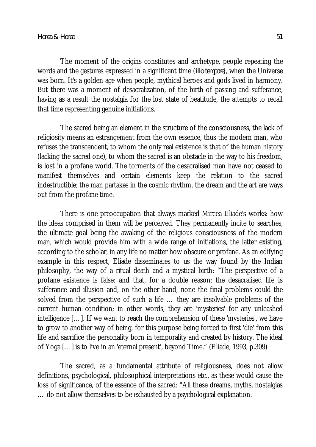The moment of the origins constitutes and archetype, people repeating the words and the gestures expressed in a significant time (*illo tempore*), when the Universe was born. It's a golden age when people, mythical heroes and gods lived in harmony. But there was a moment of desacralization, of the birth of passing and sufferance, having as a result the nostalgia for the lost state of beatitude, the attempts to recall that time representing genuine initiations.

The sacred being an element in the structure of the consciousness, the lack of religiosity means an estrangement from the own essence, thus the modern man, who refuses the transcendent, to whom the only real existence is that of the human history (lacking the sacred one), to whom the sacred is an obstacle in the way to his freedom, is lost in a profane world. The torments of the desacralised man have not ceased to manifest themselves and certain elements keep the relation to the sacred indestructible; the man partakes in the cosmic rhythm, the dream and the art are ways out from the profane time.

There is one preoccupation that always marked Mircea Eliade's works: how the ideas comprised in them will be perceived. They permanently incite to searches, the ultimate goal being the awaking of the religious consciousness of the modern man, which would provide him with a wide range of initiations, the latter existing, according to the scholar, in any life no matter how obscure or profane. As an edifying example in this respect, Eliade disseminates to us the way found by the Indian philosophy, the way of a ritual death and a mystical birth: "The perspective of a profane existence is false: and that, for a double reason: the desacralised life is sufferance and illusion and, on the other hand, none the final problems could the solved from the perspective of such a life … they are insolvable problems of the current human condition; in other words, they are 'mysteries' for any unleashed intelligence […]. If we want to reach the comprehension of these 'mysteries', we have to grow to another way of being, for this purpose being forced to first 'die' from this life and sacrifice the personality born in temporality and created by history. The ideal of Yoga […] is to live in an 'eternal present', beyond Time." (Eliade, 1993, p.309)

The sacred, as a fundamental attribute of religiousness, does not allow definitions, psychological, philosophical interpretations etc., as these would cause the loss of significance, of the essence of the sacred: "All these dreams, myths, nostalgias … do not allow themselves to be exhausted by a psychological explanation.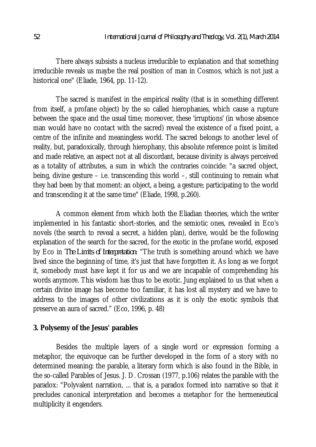There always subsists a nucleus irreducible to explanation and that something irreducible reveals us maybe the real position of man in Cosmos, which is not just a historical one" (Eliade, 1964, pp. 11-12).

The sacred is manifest in the empirical reality (that is in something different from itself, a profane object) by the so called hierophanies, which cause a rupture between the space and the usual time; moreover, these 'irruptions' (in whose absence man would have no contact with the sacred) reveal the existence of a fixed point, a centre of the infinite and meaningless world. The sacred belongs to another level of reality, but, paradoxically, through hierophany, this absolute reference point is limited and made relative, an aspect not at all discordant, because divinity is always perceived as a totality of attributes, a sum in which the contraries coincide: "a sacred object, being, divine gesture – i.e. transcending this world –, still continuing to remain what they had been by that moment: an object, a being, a gesture; participating to the world and transcending it at the same time" (Eliade, 1998, p.260).

A common element from which both the Eliadian theories, which the writer implemented in his fantastic short-stories, and the semiotic ones, revealed in Eco's novels (the search to reveal a secret, a hidden plan), derive, would be the following explanation of the search for the sacred, for the exotic in the profane world, exposed by Eco in *The Limits of Interpretation*: "The truth is something around which we have lived since the beginning of time, it's just that have forgotten it. As long as we forgot it, somebody must have kept it for us and we are incapable of comprehending his words anymore. This wisdom has thus to be exotic. Jung explained to us that when a certain divine image has become too familiar, it has lost all mystery and we have to address to the images of other civilizations as it is only the exotic symbols that preserve an aura of sacred." (Eco, 1996, p. 48)

## **3. Polysemy of the Jesus' parables**

Besides the multiple layers of a single word or expression forming a metaphor, the equivoque can be further developed in the form of a story with no determined meaning: the parable, a literary form which is also found in the Bible, in the so-called Parables of Jesus. J. D. Crossan (1977, p.106) relates the parable with the paradox: "Polyvalent narration, ... that is, a paradox formed into narrative so that it precludes canonical interpretation and becomes a metaphor for the hermeneutical multiplicity it engenders.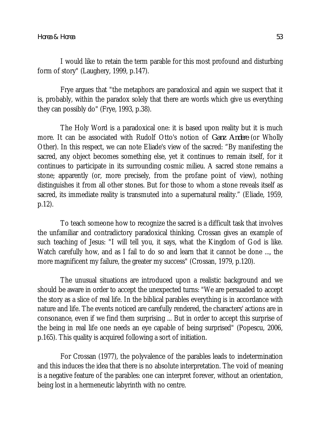I would like to retain the term parable for this most profound and disturbing form of story" (Laughery, 1999, p.147).

Frye argues that "the metaphors are paradoxical and again we suspect that it is, probably, within the paradox solely that there are words which give us everything they can possibly do" (Frye, 1993, p.38).

The Holy Word is a paradoxical one: it is based upon reality but it is much more. It can be associated with Rudolf Otto's notion of *Ganz Andere* (or Wholly Other). In this respect, we can note Eliade's view of the sacred: "By manifesting the sacred, any object becomes something else, yet it continues to remain itself, for it continues to participate in its surrounding cosmic milieu. A sacred stone remains a stone; apparently (or, more precisely, from the profane point of view), nothing distinguishes it from all other stones. But for those to whom a stone reveals itself as sacred, its immediate reality is transmuted into a supernatural reality." (Eliade, 1959, p.12).

To teach someone how to recognize the sacred is a difficult task that involves the unfamiliar and contradictory paradoxical thinking. Crossan gives an example of such teaching of Jesus: "I will tell you, it says, what the Kingdom of God is like. Watch carefully how, and as I fail to do so and learn that it cannot be done ..., the more magnificent my failure, the greater my success" (Crossan, 1979, p.120).

The unusual situations are introduced upon a realistic background and we should be aware in order to accept the unexpected turns: "We are persuaded to accept the story as a slice of real life. In the biblical parables everything is in accordance with nature and life. The events noticed are carefully rendered, the characters' actions are in consonance, even if we find them surprising ... But in order to accept this surprise of the being in real life one needs an eye capable of being surprised" (Popescu, 2006, p.165). This quality is acquired following a sort of initiation.

For Crossan (1977), the polyvalence of the parables leads to indetermination and this induces the idea that there is no absolute interpretation. The void of meaning is a negative feature of the parables: one can interpret forever, without an orientation, being lost in a hermeneutic labyrinth with no centre.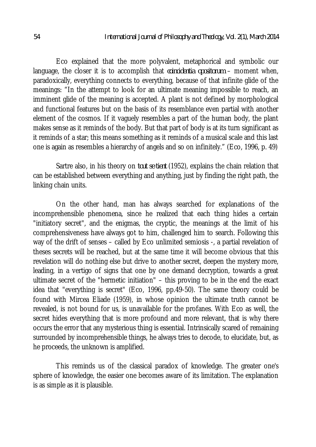Eco explained that the more polyvalent, metaphorical and symbolic our language, the closer it is to accomplish that *coincidentia opositorum* – moment when, paradoxically, everything connects to everything, because of that infinite glide of the meanings: "In the attempt to look for an ultimate meaning impossible to reach, an imminent glide of the meaning is accepted. A plant is not defined by morphological and functional features but on the basis of its resemblance even partial with another element of the cosmos. If it vaguely resembles a part of the human body, the plant makes sense as it reminds of the body. But that part of body is at its turn significant as it reminds of a star; this means something as it reminds of a musical scale and this last one is again as resembles a hierarchy of angels and so on infinitely." (Eco, 1996, p. 49)

Sartre also, in his theory on *tout se tient* (1952), explains the chain relation that can be established between everything and anything, just by finding the right path, the linking chain units.

On the other hand, man has always searched for explanations of the incomprehensible phenomena, since he realized that each thing hides a certain "initiatory secret", and the enigmas, the cryptic, the meanings at the limit of his comprehensiveness have always got to him, challenged him to search. Following this way of the drift of senses – called by Eco unlimited semiosis -, a partial revelation of theses secrets will be reached, but at the same time it will become obvious that this revelation will do nothing else but drive to another secret, deepen the mystery more, leading, in a vertigo of signs that one by one demand decryption, towards a great ultimate secret of the "hermetic initiation" – this proving to be in the end the exact idea that "everything is secret" (Eco, 1996, pp.49-50). The same theory could be found with Mircea Eliade (1959), in whose opinion the ultimate truth cannot be revealed, is not bound for us, is unavailable for the profanes. With Eco as well, the secret hides everything that is more profound and more relevant, that is why there occurs the error that any mysterious thing is essential. Intrinsically scared of remaining surrounded by incomprehensible things, he always tries to decode, to elucidate, but, as he proceeds, the unknown is amplified.

This reminds us of the classical paradox of knowledge. The greater one's sphere of knowledge, the easier one becomes aware of its limitation. The explanation is as simple as it is plausible.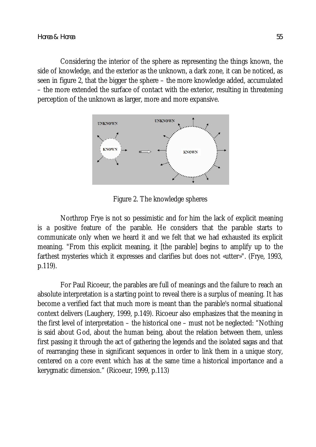Considering the interior of the sphere as representing the things known, the side of knowledge, and the exterior as the unknown, a dark zone, it can be noticed, as seen in figure 2, that the bigger the sphere – the more knowledge added, accumulated – the more extended the surface of contact with the exterior, resulting in threatening perception of the unknown as larger, more and more expansive.



Figure 2. The knowledge spheres

Northrop Frye is not so pessimistic and for him the lack of explicit meaning is a positive feature of the parable. He considers that the parable starts to communicate only when we heard it and we felt that we had exhausted its explicit meaning. "From this explicit meaning, it [the parable] begins to amplify up to the farthest mysteries which it expresses and clarifies but does not «utter»". (Frye, 1993, p.119).

For Paul Ricoeur, the parables are full of meanings and the failure to reach an absolute interpretation is a starting point to reveal there is a surplus of meaning. It has become a verified fact that much more is meant than the parable's normal situational context delivers (Laughery, 1999, p.149). Ricoeur also emphasizes that the meaning in the first level of interpretation – the historical one – must not be neglected: "Nothing is said about God, about the human being, about the relation between them, unless first passing it through the act of gathering the legends and the isolated sagas and that of rearranging these in significant sequences in order to link them in a unique story, centered on a core event which has at the same time a historical importance and a kerygmatic dimension." (Ricoeur, 1999, p.113)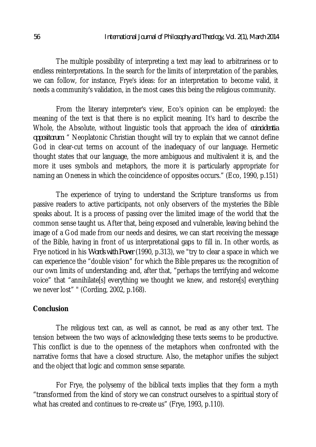The multiple possibility of interpreting a text may lead to arbitrariness or to endless reinterpretations. In the search for the limits of interpretation of the parables, we can follow, for instance, Frye's ideas: for an interpretation to become valid, it needs a community's validation, in the most cases this being the religious community.

From the literary interpreter's view, Eco's opinion can be employed: the meaning of the text is that there is no explicit meaning. It's hard to describe the Whole, the Absolute, without linguistic tools that approach the idea of *coincidentia oppositorum*: " Neoplatonic Christian thought will try to explain that we cannot define God in clear-cut terms on account of the inadequacy of our language. Hermetic thought states that our language, the more ambiguous and multivalent it is, and the more it uses symbols and metaphors, the more it is particularly appropriate for naming an Oneness in which the coincidence of opposites occurs." (Eco, 1990, p.151)

The experience of trying to understand the Scripture transforms us from passive readers to active participants, not only observers of the mysteries the Bible speaks about. It is a process of passing over the limited image of the world that the common sense taught us. After that, being exposed and vulnerable, leaving behind the image of a God made from our needs and desires, we can start receiving the message of the Bible, having in front of us interpretational gaps to fill in. In other words, as Frye noticed in his *Words with Power* (1990, p.313), we "try to clear a space in which we can experience the "double vision" for which the Bible prepares us: the recognition of our own limits of understanding; and, after that, "perhaps the terrifying and welcome voice" that "annihilate[s] everything we thought we knew, and restore[s] everything we never lost" " (Cording, 2002, p.168).

## **Conclusion**

The religious text can, as well as cannot, be read as any other text. The tension between the two ways of acknowledging these texts seems to be productive. This conflict is due to the openness of the metaphors when confronted with the narrative forms that have a closed structure. Also, the metaphor unifies the subject and the object that logic and common sense separate.

For Frye, the polysemy of the biblical texts implies that they form a myth "transformed from the kind of story we can construct ourselves to a spiritual story of what has created and continues to re-create us" (Frye, 1993, p.110).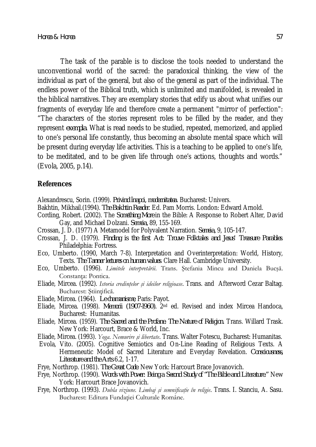The task of the parable is to disclose the tools needed to understand the unconventional world of the sacred: the paradoxical thinking, the view of the individual as part of the general, but also of the general as part of the individual. The endless power of the Biblical truth, which is unlimited and manifolded, is revealed in the biblical narratives. They are exemplary stories that edify us about what unifies our fragments of everyday life and therefore create a permanent "mirror of perfection": "The characters of the stories represent roles to be filled by the reader, and they represent *exempla*. What is read needs to be studied, repeated, memorized, and applied to one's personal life constantly, thus becoming an absolute mental space which will be present during everyday life activities. This is a teaching to be applied to one's life, to be meditated, and to be given life through one's actions, thoughts and words." (Evola, 2005, p.14).

#### **References**

Alexandrescu, Sorin. (1999). *Privind înapoi, modernitatea*. Bucharest: Univers.

- Bakhtin, Mikhail.(1994). *The Bakhtin Reader*. Ed. Pam Morris. London: Edward Arnold.
- Cording, Robert. (2002). The *Something More* in the Bible: A Response to Robert Alter, David Gay, and Michael Dolzani. *Semeia,* 89, 155-169.
- Crossan, J. D. (1977) A Metamodel for Polyvalent Narration. *Semeia,* 9, 105-147.
- Crossan, J. D. (1979). *Finding is the first Act: Trouve Folktales and Jesus' Treasure Parables*. Philadelphia: Fortress.
- Eco, Umberto. (1990, March 7-8). Interpretation and Overinterpretation: World, History, Texts. *The Tanner lectures on human values*. Clare Hall. Cambridge University.
- Eco, Umberto. (1996). *Limitele interpretării*. Trans. Ştefania Mincu and Daniela Bucşă. Constanța: Pontica.
- Eliade, Mircea. (1992). *Istoria credinţelor şi ideilor religioase*. Trans. and Afterword Cezar Baltag. Bucharest: Stiințifică.
- Eliade, Mircea. (1964). *Le chamanisme*, Paris: Payot.
- Eliade, Mircea. (1998). *Memorii (1907-l960).* 2nd ed. Revised and index Mircea Handoca, Bucharest: Humanitas.
- Eliade, Mircea. (1959). *The Sacred and the Profane. The Nature of Religion.* Trans. Willard Trask. New York: Harcourt, Brace & World, Inc.
- Eliade, Mircea. (1993). *Yoga. Nemurire şi libertate*. Trans. Walter Fotescu, Bucharest: Humanitas.
- Evola, Vito. (2005). Cognitive Semiotics and On-Line Reading of Religious Texts. A Hermeneutic Model of Sacred Literature and Everyday Revelation. *Consciousness, Literature and the Arts* 6.2, 1-17.
- Frye, Northrop. (1981). *The Great Code*. New York: Harcourt Brace Jovanovich.
- Frye, Northrop. (1990). *Words with Power: Being a Second Study of "The Bible and Literature."* New York: Harcourt Brace Jovanovich.
- Frye, Northrop. (1993). *Dubla viziune. Limbaj şi semnificaţie în religie*. Trans. I. Stanciu, A. Sasu. Bucharest: Editura Fundației Culturale Române.